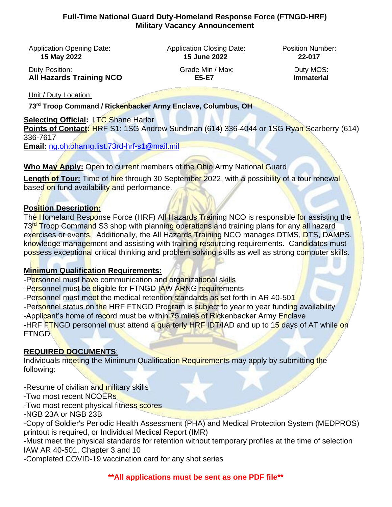#### **Full-Time National Guard Duty-Homeland Response Force (FTNGD-HRF) Military Vacancy Announcement**

Application Opening Date: Application Closing Date: Position Number:

**15 May 2022 15 June 2022 22-017**

Duty Position: Grade Min / Max: Duty MOS: **All Hazards Training NCO** E5-E7

Unit / Duty Location:

**73rd Troop Command / Rickenbacker Army Enclave, Columbus, OH**

# **Selecting Official: LTC Shane Harlor**

**Points of Contact: HRF** S1: 1SG Andrew Sundman (614) 336-4044 or 1SG Ryan Scarberry (614) 336-7617

**Email:** [ng.oh.oharng.list.73rd-hrf-s1@mail.mil](mailto:ng.oh.oharng.list.73rd-hrf-s1@mail.mil)

**Who May Apply:** Open to current members of the Ohio Army National Guard

**Length of Tour:** Time of hire through 30 September 2022, with a possibility of a tour renewal based on fund availability and performance.

### **Position Description:**

The Homeland Response Force (HRF) All Hazards Training NCO is responsible for assisting the 73<sup>rd</sup> Troop Command S3 shop with planning operations and training plans for any all hazard exercises or events. Additionally, the All Hazards Training NCO manages DTMS, DTS, DAMPS, knowledge management and assisting with training resourcing requirements. Candidates must possess exceptional critical thinking and problem solving skills as well as strong computer skills.

# **Minimum Qualification Requirements:**

-Personnel must have communication and organizational skills -Personnel must be eligible for FTNGD IAW ARNG requirements -Personnel must meet the medical retention standards as set forth in AR 40-501 -Personnel status on the HRF FTNGD Program is subject to year to year funding availability -Applicant's home of record must be within 75 miles of Rickenbacker Army Enclave -HRF FTNGD personnel must attend a quarterly HRF IDT/IAD and up to 15 days of AT while on FTNGD

# **REQUIRED DOCUMENTS**:

Individuals meeting the Minimum Qualification Requirements may apply by submitting the following:

-Resume of civilian and military skills

-Two most recent NCOERs

-Two most recent physical fitness scores

-NGB 23A or NGB 23B

-Copy of Soldier's Periodic Health Assessment (PHA) and Medical Protection System (MEDPROS) printout is required, or Individual Medical Report (IMR)

-Must meet the physical standards for retention without temporary profiles at the time of selection IAW AR 40-501, Chapter 3 and 10

-Completed COVID-19 vaccination card for any shot series

**\*\*All applications must be sent as one PDF file\*\***